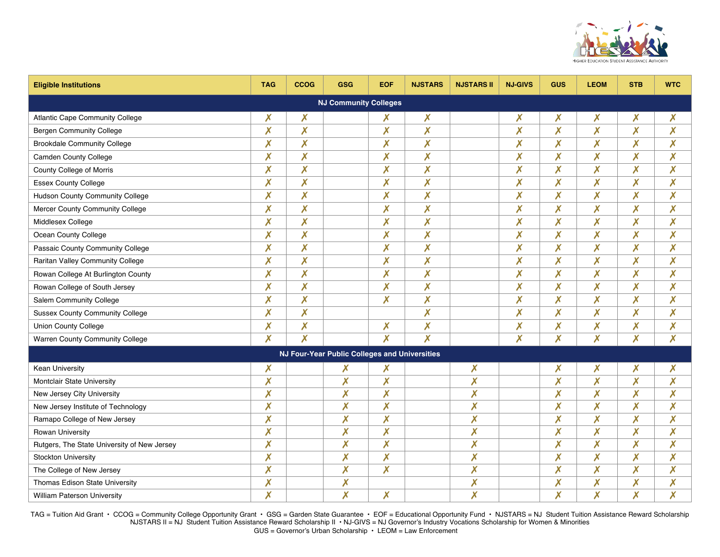

| <b>Eligible Institutions</b>                  | <b>TAG</b>                | <b>CCOG</b>               | <b>GSG</b>                | <b>EOF</b>                | <b>NJSTARS</b>            | <b>NJSTARS II</b>         | <b>NJ-GIVS</b>            | <b>GUS</b> | <b>LEOM</b>               | <b>STB</b>                | <b>WTC</b>                |  |
|-----------------------------------------------|---------------------------|---------------------------|---------------------------|---------------------------|---------------------------|---------------------------|---------------------------|------------|---------------------------|---------------------------|---------------------------|--|
| <b>NJ Community Colleges</b>                  |                           |                           |                           |                           |                           |                           |                           |            |                           |                           |                           |  |
| Atlantic Cape Community College               | Х                         | X                         |                           | Х                         | X                         |                           | X                         | Х          | X                         | $\boldsymbol{X}$          | X                         |  |
| <b>Bergen Community College</b>               | X                         | $\boldsymbol{\mathsf{X}}$ |                           | $\boldsymbol{\mathsf{X}}$ | $\chi$                    |                           | $\overline{\mathsf{X}}$   | $\chi$     | $\boldsymbol{\mathsf{x}}$ | $\boldsymbol{\mathsf{X}}$ | $\boldsymbol{\mathsf{X}}$ |  |
| <b>Brookdale Community College</b>            | X                         | $\boldsymbol{\mathsf{X}}$ |                           | X                         | X                         |                           | X                         | X          | $\boldsymbol{\mathsf{x}}$ | X                         | $\boldsymbol{\mathsf{X}}$ |  |
| <b>Camden County College</b>                  | X                         | $\boldsymbol{\mathsf{X}}$ |                           | $\boldsymbol{\mathsf{X}}$ | X                         |                           | $\overline{\mathsf{X}}$   | X          | $\boldsymbol{X}$          | $\boldsymbol{\mathsf{X}}$ | X                         |  |
| County College of Morris                      | X                         | $\boldsymbol{\mathsf{X}}$ |                           | X                         | X                         |                           | X                         | X          | $\boldsymbol{x}$          | X                         | $\boldsymbol{\mathsf{X}}$ |  |
| <b>Essex County College</b>                   | X                         | X                         |                           | X                         | X                         |                           | X                         | X          | $\boldsymbol{x}$          | X                         | X                         |  |
| Hudson County Community College               | X                         | $\boldsymbol{\mathsf{X}}$ |                           | $\boldsymbol{\mathsf{X}}$ | X                         |                           | $\boldsymbol{\mathsf{X}}$ | X          | $\boldsymbol{\mathsf{X}}$ | $\boldsymbol{\mathsf{X}}$ | $\boldsymbol{\mathsf{X}}$ |  |
| Mercer County Community College               | X                         | $\boldsymbol{\mathsf{X}}$ |                           | $\boldsymbol{\mathsf{x}}$ | X                         |                           | $\boldsymbol{\mathsf{x}}$ | X          | $\pmb{\mathsf{X}}$        | X                         | X                         |  |
| Middlesex College                             | X                         | $\boldsymbol{X}$          |                           | $\boldsymbol{\mathsf{x}}$ | $\chi$                    |                           | X                         | X          | $\boldsymbol{\mathsf{X}}$ | $\boldsymbol{\mathsf{X}}$ | $\boldsymbol{\mathsf{X}}$ |  |
| Ocean County College                          | X                         | $\boldsymbol{\mathsf{X}}$ |                           | X                         | $\chi$                    |                           | X                         | X          | $\boldsymbol{\mathsf{x}}$ | X                         | X                         |  |
| Passaic County Community College              | X                         | $\boldsymbol{X}$          |                           | $\boldsymbol{\mathsf{X}}$ | X                         |                           | X                         | X          | $\boldsymbol{\mathsf{X}}$ | X                         | X                         |  |
| Raritan Valley Community College              | X                         | $\boldsymbol{X}$          |                           | X                         | X                         |                           | X                         | X          | $\pmb{\mathsf{X}}$        | $\boldsymbol{\mathsf{x}}$ | $\boldsymbol{\mathsf{X}}$ |  |
| Rowan College At Burlington County            | X                         | $\boldsymbol{X}$          |                           | $\boldsymbol{\mathsf{X}}$ | X                         |                           | X                         | X          | $\boldsymbol{\mathsf{X}}$ | X                         | $\boldsymbol{\mathsf{X}}$ |  |
| Rowan College of South Jersey                 | X                         | $\boldsymbol{\mathsf{X}}$ |                           | $\boldsymbol{\mathsf{X}}$ | X                         |                           | $\boldsymbol{\mathsf{x}}$ | X          | $\boldsymbol{\mathsf{X}}$ | $\boldsymbol{\mathsf{X}}$ | $\boldsymbol{\mathsf{X}}$ |  |
| Salem Community College                       | X                         | $\boldsymbol{\mathsf{X}}$ |                           | $\boldsymbol{\mathsf{X}}$ | X                         |                           | $\overline{\mathsf{X}}$   | X          | $\boldsymbol{\mathsf{X}}$ | $\boldsymbol{\mathsf{X}}$ | X                         |  |
| <b>Sussex County Community College</b>        | X                         | X                         |                           |                           | $\boldsymbol{\mathsf{X}}$ |                           | X                         | X          | X                         | X                         | X                         |  |
| <b>Union County College</b>                   | X                         | $\boldsymbol{X}$          |                           | X                         | X                         |                           | X                         | X          | $\boldsymbol{\mathsf{X}}$ | X                         | $\boldsymbol{\mathsf{X}}$ |  |
| Warren County Community College               | X                         | $\boldsymbol{\mathsf{X}}$ |                           | $\boldsymbol{\mathsf{X}}$ | X                         |                           | $\boldsymbol{\mathsf{X}}$ | X          | $\boldsymbol{X}$          | X                         | X                         |  |
| NJ Four-Year Public Colleges and Universities |                           |                           |                           |                           |                           |                           |                           |            |                           |                           |                           |  |
| <b>Kean University</b>                        | X                         |                           | Х                         | Х                         |                           | X                         |                           | Х          | X                         | Х                         | X                         |  |
| Montclair State University                    | X                         |                           | X                         | X                         |                           | $\boldsymbol{\mathsf{X}}$ |                           | X          | $\boldsymbol{\mathsf{X}}$ | $\boldsymbol{\mathsf{x}}$ | $\boldsymbol{\mathsf{X}}$ |  |
| New Jersey City University                    | X                         |                           | $\boldsymbol{\mathsf{X}}$ | X                         |                           | X                         |                           | X          | $\boldsymbol{\mathsf{x}}$ | $\boldsymbol{\mathsf{X}}$ | $\boldsymbol{\mathsf{X}}$ |  |
| New Jersey Institute of Technology            | $\boldsymbol{\mathsf{x}}$ |                           | $\boldsymbol{\mathsf{X}}$ | $\boldsymbol{\mathsf{x}}$ |                           | $\boldsymbol{x}$          |                           | X          | $\boldsymbol{\mathsf{X}}$ | $\boldsymbol{\mathsf{X}}$ | $\boldsymbol{\mathsf{X}}$ |  |
| Ramapo College of New Jersey                  | X                         |                           | $\boldsymbol{\mathsf{X}}$ | $\boldsymbol{\mathsf{x}}$ |                           | $\boldsymbol{\mathsf{X}}$ |                           | X          | $\boldsymbol{\mathsf{X}}$ | $\boldsymbol{\mathsf{X}}$ | $\boldsymbol{\mathsf{X}}$ |  |
| Rowan University                              | X                         |                           | $\boldsymbol{\mathsf{X}}$ | $\boldsymbol{\mathsf{x}}$ |                           | $\boldsymbol{\mathsf{x}}$ |                           | X          | $\pmb{\mathsf{X}}$        | $\boldsymbol{\mathsf{X}}$ | $\boldsymbol{\mathsf{X}}$ |  |
| Rutgers, The State University of New Jersey   | X                         |                           | $\chi$                    | $\boldsymbol{\mathsf{x}}$ |                           | $\boldsymbol{\mathsf{X}}$ |                           | $\chi$     | $\boldsymbol{\mathsf{X}}$ | $\boldsymbol{\mathsf{X}}$ | $\boldsymbol{\mathsf{X}}$ |  |
| <b>Stockton University</b>                    | $\boldsymbol{\mathsf{x}}$ |                           | $\boldsymbol{\mathsf{X}}$ | $\boldsymbol{\mathsf{X}}$ |                           | $\boldsymbol{x}$          |                           | X          | $\boldsymbol{\mathsf{X}}$ | $\boldsymbol{\mathsf{X}}$ | $\boldsymbol{\mathsf{X}}$ |  |
| The College of New Jersey                     | X                         |                           | X                         | $\boldsymbol{\mathsf{X}}$ |                           | $\chi$                    |                           | X          | $\boldsymbol{\mathsf{X}}$ | X                         | X                         |  |
| Thomas Edison State University                | $\boldsymbol{x}$          |                           | $\boldsymbol{\mathsf{x}}$ |                           |                           | X                         |                           | X          | $\boldsymbol{x}$          | X                         | $\boldsymbol{\mathsf{X}}$ |  |
| William Paterson University                   | X                         |                           | $\chi$                    | X                         |                           | $\chi$                    |                           | X          | $\boldsymbol{X}$          | X                         | X                         |  |

TAG = Tuition Aid Grant • CCOG = Community College Opportunity Grant • GSG = Garden State Guarantee • EOF = Educational Opportunity Fund • NJSTARS = NJ Student Tuition Assistance Reward Scholarship NJSTARS II = NJ Student Tuition Assistance Reward Scholarship II • NJ-GIVS = NJ Governor's Industry Vocations Scholarship for Women & Minorities